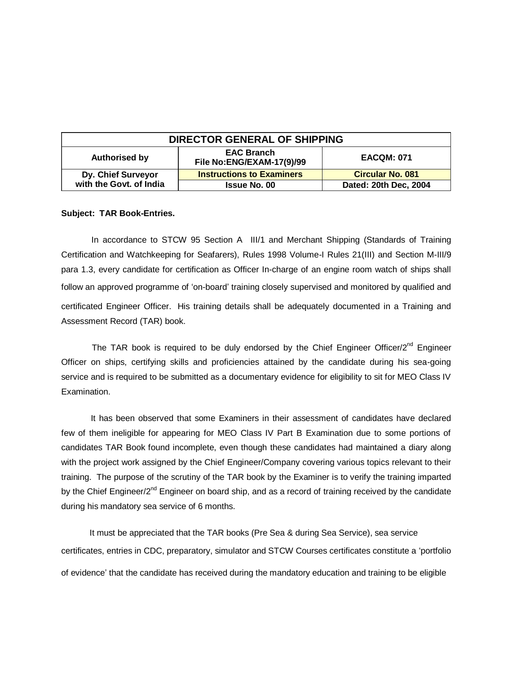| <b>DIRECTOR GENERAL OF SHIPPING</b> |                                                |                         |
|-------------------------------------|------------------------------------------------|-------------------------|
| <b>Authorised by</b>                | <b>EAC Branch</b><br>File No:ENG/EXAM-17(9)/99 | <b>EACQM: 071</b>       |
| Dy. Chief Surveyor                  | <b>Instructions to Examiners</b>               | <b>Circular No. 081</b> |
| with the Govt. of India             | <b>Issue No. 00</b>                            | Dated: 20th Dec, 2004   |

## **Subject: TAR Book-Entries.**

 In accordance to STCW 95 Section A III/1 and Merchant Shipping (Standards of Training Certification and Watchkeeping for Seafarers), Rules 1998 Volume-I Rules 21(III) and Section M-III/9 para 1.3, every candidate for certification as Officer In-charge of an engine room watch of ships shall follow an approved programme of 'on-board' training closely supervised and monitored by qualified and certificated Engineer Officer. His training details shall be adequately documented in a Training and Assessment Record (TAR) book.

The TAR book is required to be duly endorsed by the Chief Engineer Officer/ $2^{nd}$  Engineer Officer on ships, certifying skills and proficiencies attained by the candidate during his sea-going service and is required to be submitted as a documentary evidence for eligibility to sit for MEO Class IV Examination.

 It has been observed that some Examiners in their assessment of candidates have declared few of them ineligible for appearing for MEO Class IV Part B Examination due to some portions of candidates TAR Book found incomplete, even though these candidates had maintained a diary along with the project work assigned by the Chief Engineer/Company covering various topics relevant to their training. The purpose of the scrutiny of the TAR book by the Examiner is to verify the training imparted by the Chief Engineer/2<sup>nd</sup> Engineer on board ship, and as a record of training received by the candidate during his mandatory sea service of 6 months.

 It must be appreciated that the TAR books (Pre Sea & during Sea Service), sea service certificates, entries in CDC, preparatory, simulator and STCW Courses certificates constitute a 'portfolio of evidence' that the candidate has received during the mandatory education and training to be eligible